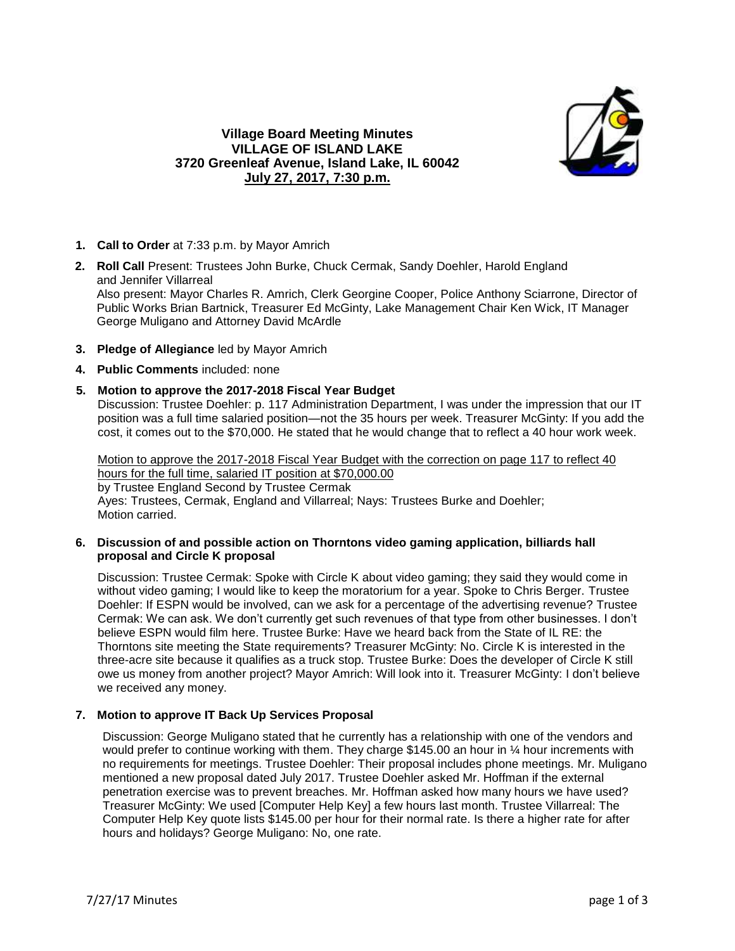

# **Village Board Meeting Minutes VILLAGE OF ISLAND LAKE 3720 Greenleaf Avenue, Island Lake, IL 60042 July 27, 2017, 7:30 p.m.**

- **1. Call to Order** at 7:33 p.m. by Mayor Amrich
- **2. Roll Call** Present: Trustees John Burke, Chuck Cermak, Sandy Doehler, Harold England and Jennifer Villarreal Also present: Mayor Charles R. Amrich, Clerk Georgine Cooper, Police Anthony Sciarrone, Director of Public Works Brian Bartnick, Treasurer Ed McGinty, Lake Management Chair Ken Wick, IT Manager George Muligano and Attorney David McArdle
- **3. Pledge of Allegiance** led by Mayor Amrich
- **4. Public Comments** included: none

## **5. Motion to approve the 2017-2018 Fiscal Year Budget**

Discussion: Trustee Doehler: p. 117 Administration Department, I was under the impression that our IT position was a full time salaried position—not the 35 hours per week. Treasurer McGinty: If you add the cost, it comes out to the \$70,000. He stated that he would change that to reflect a 40 hour work week.

Motion to approve the 2017-2018 Fiscal Year Budget with the correction on page 117 to reflect 40 hours for the full time, salaried IT position at \$70,000.00 by Trustee England Second by Trustee Cermak Ayes: Trustees, Cermak, England and Villarreal; Nays: Trustees Burke and Doehler; Motion carried.

### **6. Discussion of and possible action on Thorntons video gaming application, billiards hall proposal and Circle K proposal**

Discussion: Trustee Cermak: Spoke with Circle K about video gaming; they said they would come in without video gaming; I would like to keep the moratorium for a year. Spoke to Chris Berger. Trustee Doehler: If ESPN would be involved, can we ask for a percentage of the advertising revenue? Trustee Cermak: We can ask. We don't currently get such revenues of that type from other businesses. I don't believe ESPN would film here. Trustee Burke: Have we heard back from the State of IL RE: the Thorntons site meeting the State requirements? Treasurer McGinty: No. Circle K is interested in the three-acre site because it qualifies as a truck stop. Trustee Burke: Does the developer of Circle K still owe us money from another project? Mayor Amrich: Will look into it. Treasurer McGinty: I don't believe we received any money.

### **7. Motion to approve IT Back Up Services Proposal**

Discussion: George Muligano stated that he currently has a relationship with one of the vendors and would prefer to continue working with them. They charge \$145.00 an hour in % hour increments with no requirements for meetings. Trustee Doehler: Their proposal includes phone meetings. Mr. Muligano mentioned a new proposal dated July 2017. Trustee Doehler asked Mr. Hoffman if the external penetration exercise was to prevent breaches. Mr. Hoffman asked how many hours we have used? Treasurer McGinty: We used [Computer Help Key] a few hours last month. Trustee Villarreal: The Computer Help Key quote lists \$145.00 per hour for their normal rate. Is there a higher rate for after hours and holidays? George Muligano: No, one rate.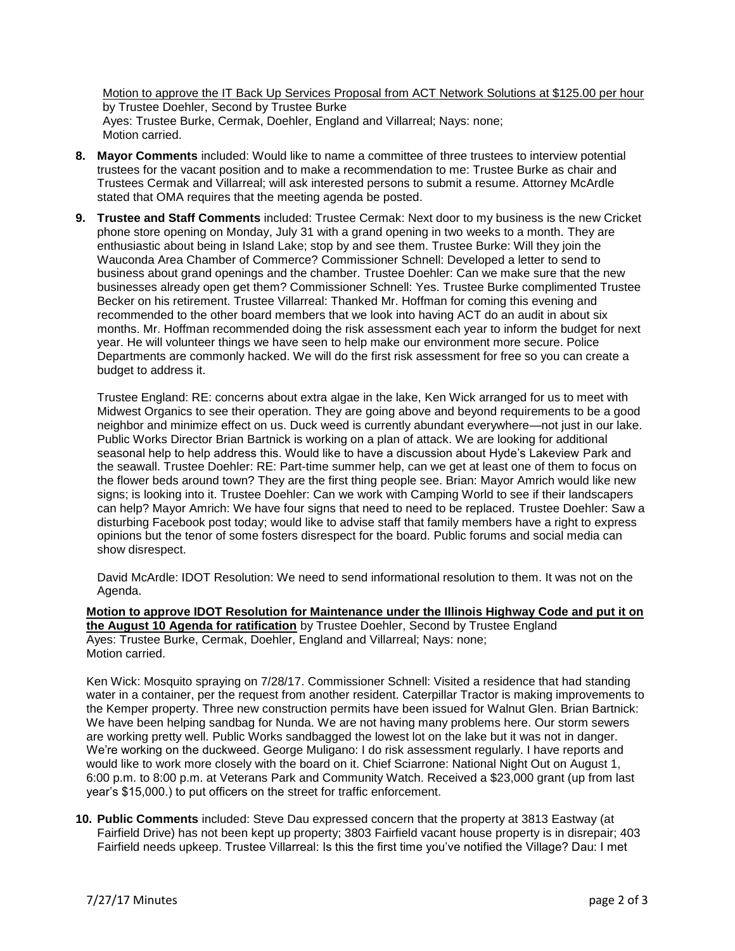Motion to approve the IT Back Up Services Proposal from ACT Network Solutions at \$125.00 per hour by Trustee Doehler, Second by Trustee Burke Ayes: Trustee Burke, Cermak, Doehler, England and Villarreal; Nays: none; Motion carried.

- **8. Mayor Comments** included: Would like to name a committee of three trustees to interview potential trustees for the vacant position and to make a recommendation to me: Trustee Burke as chair and Trustees Cermak and Villarreal; will ask interested persons to submit a resume. Attorney McArdle stated that OMA requires that the meeting agenda be posted.
- **9. Trustee and Staff Comments** included: Trustee Cermak: Next door to my business is the new Cricket phone store opening on Monday, July 31 with a grand opening in two weeks to a month. They are enthusiastic about being in Island Lake; stop by and see them. Trustee Burke: Will they join the Wauconda Area Chamber of Commerce? Commissioner Schnell: Developed a letter to send to business about grand openings and the chamber. Trustee Doehler: Can we make sure that the new businesses already open get them? Commissioner Schnell: Yes. Trustee Burke complimented Trustee Becker on his retirement. Trustee Villarreal: Thanked Mr. Hoffman for coming this evening and recommended to the other board members that we look into having ACT do an audit in about six months. Mr. Hoffman recommended doing the risk assessment each year to inform the budget for next year. He will volunteer things we have seen to help make our environment more secure. Police Departments are commonly hacked. We will do the first risk assessment for free so you can create a budget to address it.

Trustee England: RE: concerns about extra algae in the lake, Ken Wick arranged for us to meet with Midwest Organics to see their operation. They are going above and beyond requirements to be a good neighbor and minimize effect on us. Duck weed is currently abundant everywhere—not just in our lake. Public Works Director Brian Bartnick is working on a plan of attack. We are looking for additional seasonal help to help address this. Would like to have a discussion about Hyde's Lakeview Park and the seawall. Trustee Doehler: RE: Part-time summer help, can we get at least one of them to focus on the flower beds around town? They are the first thing people see. Brian: Mayor Amrich would like new signs; is looking into it. Trustee Doehler: Can we work with Camping World to see if their landscapers can help? Mayor Amrich: We have four signs that need to need to be replaced. Trustee Doehler: Saw a disturbing Facebook post today; would like to advise staff that family members have a right to express opinions but the tenor of some fosters disrespect for the board. Public forums and social media can show disrespect.

David McArdle: IDOT Resolution: We need to send informational resolution to them. It was not on the Agenda.

**Motion to approve IDOT Resolution for Maintenance under the Illinois Highway Code and put it on the August 10 Agenda for ratification** by Trustee Doehler, Second by Trustee England Ayes: Trustee Burke, Cermak, Doehler, England and Villarreal; Nays: none; Motion carried.

Ken Wick: Mosquito spraying on 7/28/17. Commissioner Schnell: Visited a residence that had standing water in a container, per the request from another resident. Caterpillar Tractor is making improvements to the Kemper property. Three new construction permits have been issued for Walnut Glen. Brian Bartnick: We have been helping sandbag for Nunda. We are not having many problems here. Our storm sewers are working pretty well. Public Works sandbagged the lowest lot on the lake but it was not in danger. We're working on the duckweed. George Muligano: I do risk assessment regularly. I have reports and would like to work more closely with the board on it. Chief Sciarrone: National Night Out on August 1, 6:00 p.m. to 8:00 p.m. at Veterans Park and Community Watch. Received a \$23,000 grant (up from last year's \$15,000.) to put officers on the street for traffic enforcement.

**10. Public Comments** included: Steve Dau expressed concern that the property at 3813 Eastway (at Fairfield Drive) has not been kept up property; 3803 Fairfield vacant house property is in disrepair; 403 Fairfield needs upkeep. Trustee Villarreal: Is this the first time you've notified the Village? Dau: I met